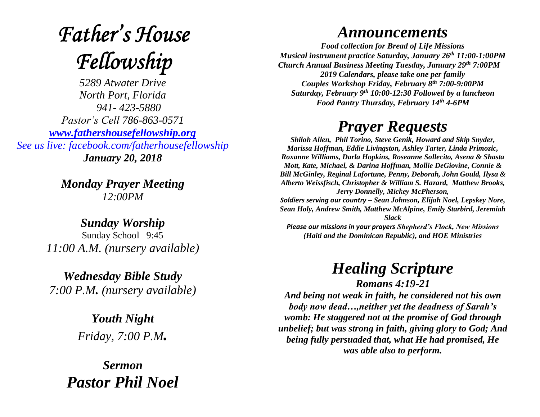# **Father's House** Fellowship

*5289 Atwater Drive North Port, Florida 941- 423-5880 Pastor's Cell 786-863-0571 [www.fathershousefellowship.org](http://www.fathershousefellowship.org/) See us live: facebook.com/fatherhousefellowship January 20, 2018*

> *Monday Prayer Meeting 12:00PM*

*Sunday Worship* Sunday School 9:45 *11:00 A.M. (nursery available)*

*Wednesday Bible Study 7:00 P.M. (nursery available)*

> *Youth Night Friday, 7:00 P.M.*

*Sermon Pastor Phil Noel*

#### *Announcements*

*Food collection for Bread of Life Missions Musical instrument practice Saturday, January 26th 11:00-1:00PM Church Annual Business Meeting Tuesday, January 29th 7:00PM 2019 Calendars, please take one per family Couples Workshop Friday, February 8th 7:00-9:00PM Saturday, February 9th 10:00-12:30 Followed by a luncheon Food Pantry Thursday, February 14th 4-6PM*

### *Prayer Requests*

*Shiloh Allen, Phil Torino, Steve Genik, Howard and Skip Snyder, Marissa Hoffman, Eddie Livingston, Ashley Tarter, Linda Primozic, Roxanne Williams, Darla Hopkins, Roseanne Sollecito, Asena & Shasta Mott, Kate, Michael, & Darina Hoffman, Mollie DeGiovine, Connie & Bill McGinley, Reginal Lafortune, Penny, Deborah, John Gould, Ilysa & Alberto Weissfisch, Christopher & William S. Hazard, Matthew Brooks, Jerry Donnelly, Mickey McPherson, Soldiers serving our country – Sean Johnson, Elijah Noel, Lepskey Nore, Sean Holy, Andrew Smith, Matthew McAlpine, Emily Starbird, Jeremiah Slack Please our missions in your prayers Shepherd's Flock, New Missions (Haiti and the Dominican Republic), and HOE Ministries*

## *Healing Scripture*

*Romans 4:19-21*

*And being not weak in faith, he considered not his own body now dead…,neither yet the deadness of Sarah's womb: He staggered not at the promise of God through unbelief; but was strong in faith, giving glory to God; And being fully persuaded that, what He had promised, He was able also to perform.*